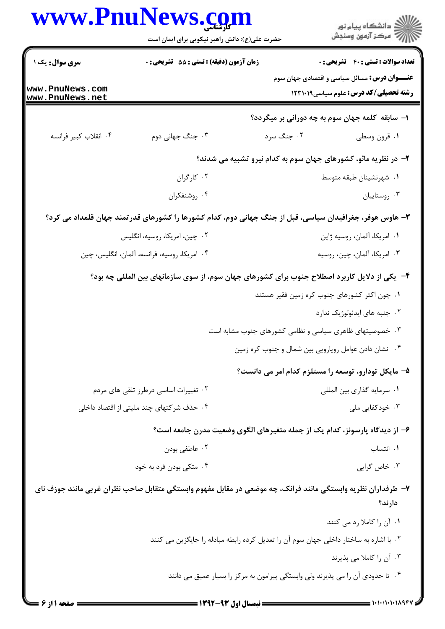|                       | www.PnuNews.com<br>حضرت علی(ع): دانش راهبر نیکویی برای ایمان است | ڪ دانشڪاه پيا <sub>م</sub> نور<br>۾ سرڪز آزمون وسنڊش                                                                                          |
|-----------------------|------------------------------------------------------------------|-----------------------------------------------------------------------------------------------------------------------------------------------|
| سری سوال: یک ۱        | زمان آزمون (دقیقه) : تستی : 55 تشریحی : 0                        | <b>تعداد سوالات : تستی : 40 - تشریحی : 0</b>                                                                                                  |
| www.PnuNews.com       |                                                                  | <b>عنـــوان درس:</b> مسائل سیاسی و اقتصادی جهان سوم<br><b>رشته تحصیلی/کد درس: علوم سیاسی12311 ا</b>                                           |
| www.PnuNews.net       |                                                                  |                                                                                                                                               |
| ۰۴ انقلاب كبير فرانسه | ۰۳ جنگ جهانی دوم                                                 | ا– سابقه کلمه جهان سوم به چه دورانی بر میگردد؟<br>۰۲ جنگ سرد<br>٠١ قرون وسطى                                                                  |
|                       |                                                                  | ۲- در نظریه مائو، کشورهای جهان سوم به کدام نیرو تشبیه می شدند؟                                                                                |
|                       | ۰۲ کارگران                                                       | ٠١ شهرنشينان طبقه متوسط                                                                                                                       |
|                       | ۰۴ روشنفكران                                                     | ۰۳ روستاييان                                                                                                                                  |
|                       |                                                                  | ۳- هاوس هوفر، جغرافیدان سیاسی، قبل از جنگ جهانی دوم، کدام کشورها را کشورهای قدرتمند جهان قلمداد می کرد؟                                       |
|                       | ۰۲ چین، امریکا، روسیه، انگلیس                                    | ٠١. امريكا، ألمان، روسيه ژاپن                                                                                                                 |
|                       | ۰۴ امریکا، روسیه، فرانسه، آلمان، انگلیس، چین                     | ۰۳ امریکا، آلمان، چین، روسیه                                                                                                                  |
|                       |                                                                  |                                                                                                                                               |
|                       |                                                                  | ۴- یکی از دلایل کاربرد اصطلاح جنوب برای کشورهای جهان سوم، از سوی سازمانهای بین المللی چه بود؟<br>۰۱ چون اکثر کشورهای جنوب کره زمین فقیر هستند |
|                       |                                                                  | ۰۲ جنبه های ایدئولوژیک ندارد                                                                                                                  |
|                       |                                                                  | ۰۳ خصوصیتهای ظاهری سیاسی و نظامی کشورهای جنوب مشابه است                                                                                       |
|                       |                                                                  | ۰۴ نشان دادن عوامل رویارویی بین شمال و جنوب کره زمین                                                                                          |
|                       |                                                                  | ۵– مایکل تودارو، توسعه را مستلزم کدام امر می دانست؟                                                                                           |
|                       | ۰۲ تغییرات اساسی درطرز تلقی های مردم                             | ٠١ سرمايه گذاري بين المللي                                                                                                                    |
|                       | ۰۴ حذف شرکتهای چند ملیتی از اقتصاد داخلی                         | ۰۳ خودکفایی ملی                                                                                                                               |
|                       |                                                                  | ۶– از دیدگاه پارسونز، کدام یک از جمله متغیرهای الگوی وضعیت مدرن جامعه است؟                                                                    |
|                       | ۰۲ عاطفي بودن                                                    | ۰۱ انتساب                                                                                                                                     |
|                       | ۰۴ متکی بودن فرد به خود                                          | ۰۳ خاص گرایی                                                                                                                                  |
|                       |                                                                  | ۷– طرفداران نظریه وابستگی مانند فرانک، چه موضعی در مقابل مفهوم وابستگی متقابل صاحب نظران غربی مانند جوزف نای                                  |
|                       |                                                                  | دارند؟                                                                                                                                        |
|                       |                                                                  | ۰۱ آن را کاملا رد می کنند                                                                                                                     |
|                       |                                                                  | ٢٠ با اشاره به ساختار داخلي جهان سوم آن را تعديل كرده رابطه مبادله را جايگزين مي كنند                                                         |
|                       |                                                                  | ۰۳ آن را کاملا می پذیرند                                                                                                                      |
|                       |                                                                  | ۰۴ تا حدودی آن را می پذیرند ولی وابستگی پیرامون به مرکز را بسیار عمیق می دانند                                                                |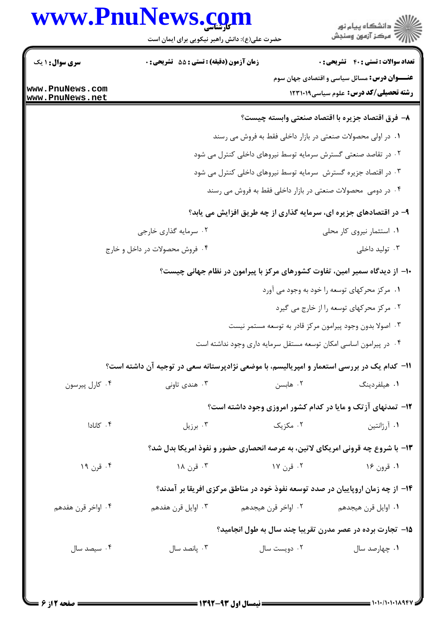## www.PnuNews.com

| www.PnuNews.com                    | حضرت علی(ع): دانش راهبر نیکویی برای ایمان است                                              |                                                                   | د<br>دانشڪاه پيام نور<br>ج - مرڪز آزمون وسنڊش                                                       |
|------------------------------------|--------------------------------------------------------------------------------------------|-------------------------------------------------------------------|-----------------------------------------------------------------------------------------------------|
| <b>سری سوال : ۱ یک</b>             | زمان آزمون (دقیقه) : تستی : 55 تشریحی : 0                                                  |                                                                   | <b>تعداد سوالات : تستی : 40 - تشریحی : 0</b>                                                        |
| www.PnuNews.com<br>www.PnuNews.net |                                                                                            |                                                                   | <b>عنـــوان درس:</b> مسائل سیاسی و اقتصادی جهان سوم<br><b>رشته تحصیلی/کد درس:</b> علوم سیاسی1۲۳۱۰۱۹ |
|                                    |                                                                                            |                                                                   | ۸– فرق اقتصاد جزیره با اقتصاد صنعتی وابسته چیست؟                                                    |
|                                    |                                                                                            | ۰۱ در اولی محصولات صنعتی در بازار داخلی فقط به فروش می رسند       |                                                                                                     |
|                                    |                                                                                            | ۰۲ در تقاصد صنعتی گسترش سرمایه توسط نیروهای داخلی کنترل می شود    |                                                                                                     |
|                                    |                                                                                            | ۰۳ در اقتصاد جزیره گسترش سرمایه توسط نیروهای داخلی کنترل می شود   |                                                                                                     |
|                                    |                                                                                            | ۰۴ در دومی ًمحصولات صنعتی در بازار داخلی فقط به فروش می رسند      |                                                                                                     |
|                                    |                                                                                            | ۹- در اقتصادهای جزیره ای، سرمایه گذاری از چه طریق افزایش می یابد؟ |                                                                                                     |
|                                    | ۰۲ سرمایه گذاری خارجی                                                                      |                                                                   | ۰۱ استثمار نیروی کار محلی                                                                           |
|                                    | ۰۴ فروش محصولات در داخل و خارج                                                             |                                                                   | ۰۳ تولید داخلی                                                                                      |
|                                    |                                                                                            |                                                                   | ∙۱− از دیدگاه سمیر امین، تفاوت کشورهای مرکز با پیرامون در نظام جهانی چیست؟                          |
|                                    |                                                                                            |                                                                   | ۰۱ مرکز محرکهای توسعه را خود به وجود می آورد                                                        |
|                                    |                                                                                            |                                                                   | ۰۲ مرکز محرکهای توسعه را از خارج می گیرد                                                            |
|                                    |                                                                                            | ۰۳ اصولا بدون وجود پیرامون مرکز قادر به توسعه مستمر نیست          |                                                                                                     |
|                                    |                                                                                            | ۰۴ در پیرامون اساسی امکان توسعه مستقل سرمایه داری وجود نداشته است |                                                                                                     |
|                                    | 1۱– کدام یک در بررسی استعمار و امپریالیسم، با موضعی نژادپرستانه سعی در توجیه آن داشته است؟ |                                                                   |                                                                                                     |
| ۰۴ کارل پیرسون                     | ۰۳ هندي تاوني                                                                              | ۰۲ هابسن                                                          | ۰۱ هیلفردینگ                                                                                        |
|                                    |                                                                                            |                                                                   | ۱۲- تمدنهای آزتک و مایا در کدام کشور امروزی وجود داشته است؟                                         |
| ۰۴ کانادا                          | ۰۳ برزیل                                                                                   | ۰۲ مکزیک                                                          | ۰۱ آرژانتین                                                                                         |
|                                    |                                                                                            |                                                                   | ۱۳- با شروع چه قرونی امریکای لاتین، به عرصه انحصاری حضور و نفوذ امریکا بدل شد؟                      |
| ۰۴ قرن ۱۹                          | ۰۳ قرن ۱۸                                                                                  | ۰۲ قرن ۱۷                                                         | ۱. قرون ۱۶                                                                                          |
|                                    |                                                                                            |                                                                   | ۱۴- از چه زمان اروپاییان در صدد توسعه نفوذ خود در مناطق مرکزی افریقا بر آمدند؟                      |
| ۰۴ اواخر قرن هفدهم                 | ۰۳ اوايل قرن هفدهم                                                                         | ۰۱ اوایل قرن هیجدهم سلمعدی ۲۰ اواخر قرن هیجدهم                    |                                                                                                     |
|                                    |                                                                                            |                                                                   | ۱۵– تجارت برده در عصر مدرن تقریبا چند سال به طول انجامید؟                                           |
| ۰۴ سیصد سال                        | ۰۳ پانصد سال                                                                               | ۰۲ دویست سال                                                      | ۰۱ چهارصد سال                                                                                       |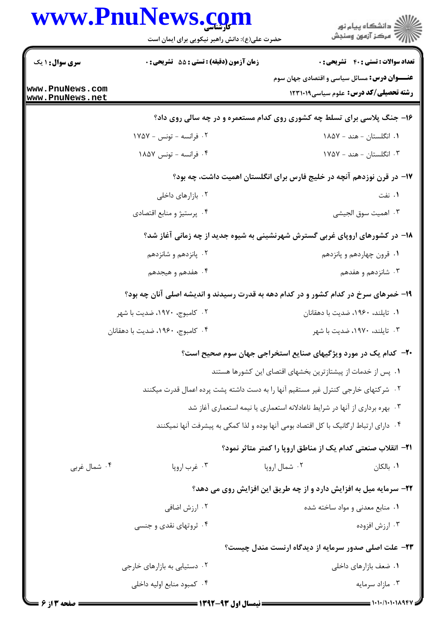## www.PnuNews.com

|                                    | www.PnuNews.com<br>حضرت علی(ع): دانش راهبر نیکویی برای ایمان است | ≦ دانشڪاه پيام نور<br>7- مرڪز آزمون وسنڊش                                                          |
|------------------------------------|------------------------------------------------------------------|----------------------------------------------------------------------------------------------------|
| <b>سری سوال : ۱ یک</b>             | <b>زمان آزمون (دقیقه) : تستی : 55 تشریحی : 0</b>                 | <b>تعداد سوالات : تستی : 40 قشریحی : 0</b>                                                         |
| www.PnuNews.com<br>www.PnuNews.net |                                                                  | <b>عنـــوان درس:</b> مسائل سیاسی و اقتصادی جهان سوم<br><b>رشته تحصیلی/کد درس:</b> علوم سیاسی123119 |
|                                    |                                                                  | ۱۶- جنگ پلاسی برای تسلط چه کشوری روی کدام مستعمره و در چه سالی روی داد؟                            |
|                                    | ۰۲ فرانسه - تونس - ۱۷۵۷                                          | ۰۱ انگلستان - هند - ۱۸۵۷                                                                           |
|                                    | ۰۴ فرانسه - تونس ۱۸۵۷                                            | ۰۳ انگلستان - هند - ۱۷۵۷                                                                           |
|                                    |                                                                  | ۱۷– در قرن نوزدهم آنچه در خلیج فارس برای انگلستان اهمیت داشت، چه بود؟                              |
|                                    | ۰۲ بازارهای داخلی                                                | ۰۱ نفت                                                                                             |
|                                    | ۰۴ پرستیژ و منابع اقتصادی                                        | ٠٣ اهميت سوق الجيشي                                                                                |
|                                    |                                                                  | ۱۸- در کشورهای اروپای غربی گسترش شهرنشینی به شیوه جدید از چه زمانی آغاز شد؟                        |
|                                    | ۰۲ پانزدهم و شانزدهم                                             | ۰۱ قرون چهاردهم و پانزدهم                                                                          |
|                                    | ۰۴ هفدهم و هیجدهم                                                | ۰۳ شانزدهم و هفدهم                                                                                 |
|                                    |                                                                  | ۱۹- خمرهای سرخ در کدام کشور و در کدام دهه به قدرت رسیدند و اندیشه اصلی آنان چه بود؟                |
|                                    | ۰۲ کامبوج، ۱۹۷۰، ضدیت با شهر                                     | ۰۱ تایلند، ۱۹۶۰، ضدیت با دهقانان                                                                   |
|                                    | ۰۴ کامبوج، ۱۹۶۰، ضدیت با دهقانان                                 | ۰۳ تایلند، ۱۹۷۰، ضدیت با شهر                                                                       |
|                                    |                                                                  | <b>۰۲</b> - کدام یک در مورد ویژگیهای صنایع استخراجی جهان سوم صحیح است؟                             |
|                                    |                                                                  | ۰۱ پس از خدمات از پیشتازترین بخشهای اقتصای این کشورها هستند                                        |
|                                    |                                                                  | ۰۲ شرکتهای خارجی کنترل غیر مستقیم آنها را به دست داشته پشت پرده اعمال قدرت میکنند                  |
|                                    |                                                                  | ۰۳ بهره برداری از آنها در شرایط ناعادلانه استعماری یا نیمه استعماری آغاز شد                        |
|                                    |                                                                  | ۰۴ دارای ارتباط ارگانیک با کل اقتصاد بومی آنها بوده و لذا کمکی به پیشرفت آنها نمیکنند              |
|                                    |                                                                  | <b>۲۱</b> – انقلاب صنعتی کدام یک از مناطق اروپا را کمتر متاثر نمود؟                                |
| ۰۴ شمال غربي                       | ۰۳ غرب اروپا                                                     | ۰۲ شمال اروپا<br>۰۱ بالکان                                                                         |
|                                    |                                                                  | ۲۲- سرمایه میل به افزایش دارد و از چه طریق این افزایش روی می دهد؟                                  |
|                                    | ۰۲ ارزش اضافی                                                    | ۰۱ منابع معدنی و مواد ساخته شده                                                                    |
|                                    | ۰۴ ثروتهای نقدی و جنسی                                           | ۰۳ ارزش افزوده                                                                                     |
|                                    |                                                                  | ۲۳- علت اصلی صدور سرمایه از دیدگاه ارنست مندل چیست؟                                                |
|                                    | ۰۲ دستیابی به بازارهای خارجی                                     | ۰۱ ضعف بازارهای داخلی                                                                              |
|                                    | ۰۴ کمبود منابع اوليه داخلي                                       | ۰۳ مازاد سرمايه                                                                                    |
|                                    |                                                                  |                                                                                                    |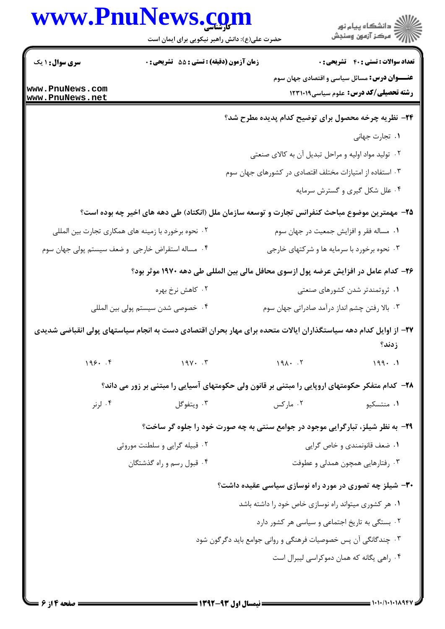|                                    | www.PnuNews.com<br>حضرت علی(ع): دانش راهبر نیکویی برای ایمان است                                                |                                                                | الا دانشگاه پيام نور<br>الا مرکز آزمون وسنجش                                                 |
|------------------------------------|-----------------------------------------------------------------------------------------------------------------|----------------------------------------------------------------|----------------------------------------------------------------------------------------------|
| <b>سری سوال : ۱ یک</b>             | زمان آزمون (دقیقه) : تستی : 55 گشریحی : 0                                                                       |                                                                | <b>تعداد سوالات : تستي : 40 ٪ تشريحي : 0</b>                                                 |
| www.PnuNews.com<br>www.PnuNews.net |                                                                                                                 |                                                                | <b>عنـــوان درس:</b> مسائل سیاسی و اقتصادی جهان سوم<br>رشته تحصیلی/کد درس: علوم سیاسی١٢٣١٠١٩ |
|                                    |                                                                                                                 | ۲۴- نظریه چرخه محصول برای توضیح کدام پدیده مطرح شد؟            |                                                                                              |
|                                    |                                                                                                                 |                                                                | ۰۱ تجارت جهانی                                                                               |
|                                    |                                                                                                                 | ۰۲ تولید مواد اولیه و مراحل تبدیل آن به کالای صنعتی            |                                                                                              |
|                                    |                                                                                                                 | ۰۳ استفاده از امتیازات مختلف اقتصادی در کشورهای جهان سوم       |                                                                                              |
|                                    |                                                                                                                 |                                                                | ۰۴ علل شکل گیری و گسترش سرمایه                                                               |
|                                    | ۲۵– مهمترین موضوع مباحث کنفرانس تجارت و توسعه سازمان ملل (انکتاد) طی دهه های اخیر چه بوده است؟                  |                                                                |                                                                                              |
|                                    | ۰۲ نحوه برخورد با زمینه های همکاری تجارت بین المللی                                                             |                                                                | ٠١ مساله فقر و افزايش جمعيت در جهان سوم                                                      |
|                                    | ۰۴ مساله استقراض خارجی و ضعف سیستم پولی جهان سوم                                                                | ۰۳ نحوه برخورد با سرمایه ها و شرکتهای خارجی                    |                                                                                              |
|                                    | ۲۶– کدام عامل در افزایش عرضه پول ازسوی محافل مالی بین المللی طی دهه ۱۹۷۰ موثر بود؟                              |                                                                |                                                                                              |
|                                    | ۰۲ کاهش نرخ بهره                                                                                                |                                                                | ۰۱ ثروتمندتر شدن کشورهای صنعتی                                                               |
|                                    | ۰۴ خصوصی شدن سیستم پولی بین المللی                                                                              | ۰۳ بالا رفتن چشم انداز درآمد صادراتی جهان سوم                  |                                                                                              |
|                                    | ۲۷– از اوایل کدام دهه سیاستگذاران ایالات متحده برای مهار بحران اقتصادی دست به انجام سیاستهای پولی انقباضی شدیدی |                                                                | زدند؟                                                                                        |
| $195.$ $.9$                        | $19Y \cdot T$                                                                                                   | $191 \cdot .7$                                                 | 199.1                                                                                        |
|                                    | ۲۸− کدام متفکر حکومتهای اروپایی را مبتنی بر قانون ولی حکومتهای آسیایی را مبتنی بر زور می داند؟                  |                                                                |                                                                                              |
| ۰۴ لرنر                            | ۰۳ ویتفوگل                                                                                                      | ۰۲ مارکس                                                       | ۰۱ منتسکیو                                                                                   |
|                                    | <b>۲۹</b> - به نظر شیلز، تبارگرایی موجود در جوامع سنتی به چه صورت خود را جلوه گر ساخت؟                          |                                                                |                                                                                              |
|                                    | ۰۲ قبیله گرایی و سلطنت موروثی                                                                                   |                                                                | ٠١ ضعف قانونمندي و خاص گرايي                                                                 |
|                                    | ۰۴ قبول رسم و راه گذشتگان                                                                                       |                                                                | ۰۳ رفتارهایی همچون همدلی و عطوفت                                                             |
|                                    |                                                                                                                 | ۳۰- شیلز چه تصوری در مورد راه نوسازی سیاسی عقیده داشت؟         |                                                                                              |
|                                    |                                                                                                                 | ۰۱ هر کشوری میتواند راه نوسازی خاص خود را داشته باشد           |                                                                                              |
|                                    |                                                                                                                 | ۰۲ بستگی به تاریخ اجتماعی و سیاسی هر کشور دارد                 |                                                                                              |
|                                    |                                                                                                                 | ۰۳ چندگانگی آن پس خصوصیات فرهنگی و روانی جوامع باید دگرگون شود |                                                                                              |
|                                    |                                                                                                                 |                                                                | ۰۴ راهی یگانه که همان دموکراسی لیبرال است                                                    |
|                                    |                                                                                                                 |                                                                |                                                                                              |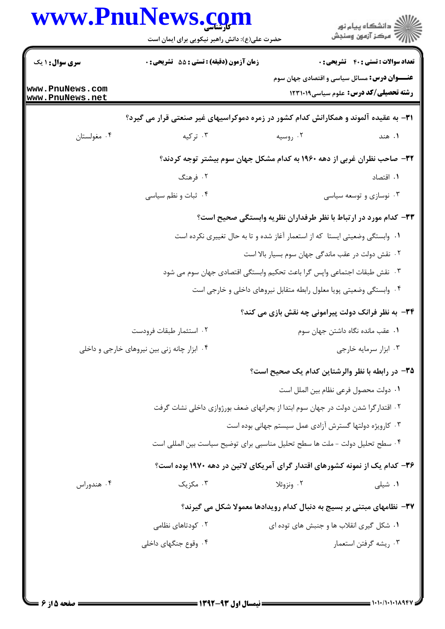|                                    | www.PnuNews.com<br>حضرت علی(ع): دانش راهبر نیکویی برای ایمان است                     |                                                                             | ر<br>دانشڪاه پيام نور)<br>ا∛ مرڪز آزمون وسنڊش       |
|------------------------------------|--------------------------------------------------------------------------------------|-----------------------------------------------------------------------------|-----------------------------------------------------|
| <b>سری سوال : ۱ یک</b>             | زمان آزمون (دقیقه) : تستی : 55 تشریحی : 0                                            |                                                                             | <b>تعداد سوالات : تستي : 40 ٪ تشريحي : 0</b>        |
|                                    |                                                                                      |                                                                             | <b>عنـــوان درس:</b> مسائل سیاسی و اقتصادی جهان سوم |
| www.PnuNews.com<br>www.PnuNews.net |                                                                                      |                                                                             | <b>رشته تحصیلی/کد درس:</b> علوم سیاسی12311 1        |
|                                    | ۳۱– به عقیده آلموند و همکارانش کدام کشور در زمره دموکراسیهای غیر صنعتی قرار می گیرد؟ |                                                                             |                                                     |
| ۰۴ مغولستان                        | ۰۳ ترکیه                                                                             | ۰۲ روسیه                                                                    | ۰۱ هند                                              |
|                                    | ۳۲- صاحب نظران غربی از دهه ۱۹۶۰ به کدام مشکل جهان سوم بیشتر توجه کردند؟              |                                                                             |                                                     |
|                                    | ۲. فرهنگ                                                                             |                                                                             | ۰۱ اقتصاد                                           |
|                                    | ۰۴ ثبات و نظم سیاسی                                                                  |                                                                             | ۰۳ نوسازی و توسعه سیاسی                             |
|                                    |                                                                                      | ۳۳- کدام مورد در ارتباط با نظر طرفداران نظریه وابستگی صحیح است؟             |                                                     |
|                                    |                                                                                      | ۰۱ وابستگی وضعیتی ایستا که از استعمار آغاز شده و تا به حال تغییری نکرده است |                                                     |
|                                    |                                                                                      | ۰۲ نقش دولت در عقب ماندگی جهان سوم بسیار بالا است                           |                                                     |
|                                    | ۰۳ نقش طبقات اجتماعی واپس گرا باعث تحکیم وابستگی اقتصادی جهان سوم می شود             |                                                                             |                                                     |
|                                    |                                                                                      | ۰۴ وابستگی وضعیتی پویا معلول رابطه متقابل نیروهای داخلی و خارجی است         |                                                     |
|                                    |                                                                                      | ۳۴- به نظر فرانک دولت پیرامونی چه نقش بازی می کند؟                          |                                                     |
|                                    | ٢. استثمار طبقات فرودست                                                              |                                                                             | ٠١ عقب مانده نگاه داشتن جهان سوم                    |
|                                    | ۰۴ ابزار چانه زنی بین نیروهای خارجی و داخلی                                          |                                                                             | ۰۳ ابزار سرمایه خارجی                               |
|                                    |                                                                                      | ۳۵– در رابطه با نظر والرشتاین کدام یک صحیح است؟                             |                                                     |
|                                    |                                                                                      |                                                                             | ٠١ دولت محصول فرعي نظام بين الملل است               |
|                                    | ۰۲ اقتدار گرا شدن دولت در جهان سوم ابتدا از بحرانهای ضعف بورژوازی داخلی نشات گرفت    |                                                                             |                                                     |
|                                    |                                                                                      | ۰۳ کارویژه دولتها گسترش آزادی عمل سیستم جهانی بوده است                      |                                                     |
|                                    | ۰۴ سطح تحلیل دولت – ملت ها سطح تحلیل مناسبی برای توضیح سیاست بین المللی است          |                                                                             |                                                     |
|                                    | ۳۶– کدام یک از نمونه کشورهای اقتدار گرای آمریکای لاتین در دهه ۱۹۷۰ بوده است؟         |                                                                             |                                                     |
| ۰۴ هندوراس                         | ۰۳ مکزیک                                                                             | ۰۲ ونزوئلا                                                                  | ۰۱ شیلی                                             |
|                                    |                                                                                      | ۳۷– نظامهای مبتنی بر بسیج به دنبال کدام رویدادها معمولا شکل می گیرند؟       |                                                     |
|                                    | ۰۲ کودتاهای نظامی                                                                    | ۰۱ شکل گیری انقلاب ها و جنبش های توده ای                                    |                                                     |
|                                    | ۰۴ وقوع جنگهای داخلی                                                                 |                                                                             | ۰۳ ریشه گرفتن استعمار                               |